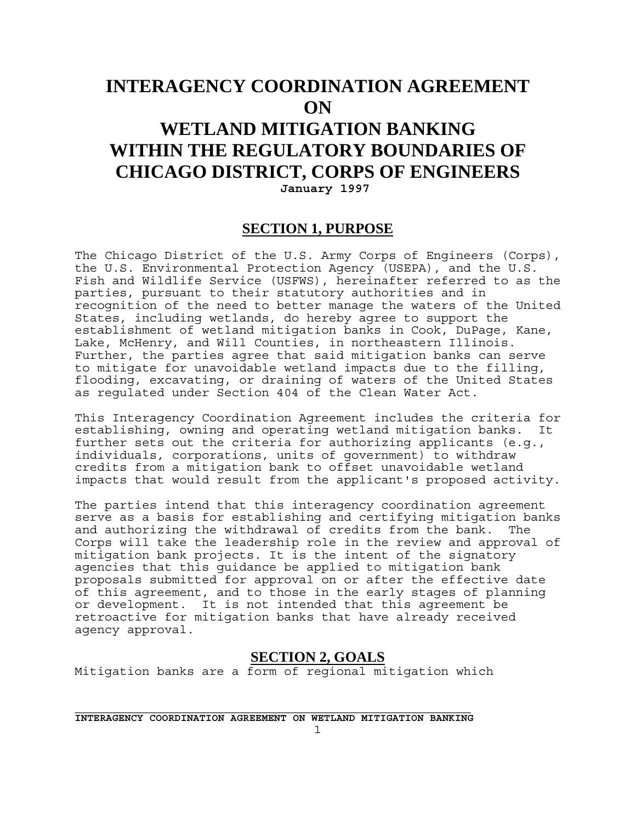# **INTERAGENCY COORDINATION AGREEMENT ON WETLAND MITIGATION BANKING**

# **WITHIN THE REGULATORY BOUNDARIES OF CHICAGO DISTRICT, CORPS OF ENGINEERS January 1997**

#### **SECTION 1, PURPOSE**

The Chicago District of the U.S. Army Corps of Engineers (Corps), the U.S. Environmental Protection Agency (USEPA), and the U.S. Fish and Wildlife Service (USFWS), hereinafter referred to as the parties, pursuant to their statutory authorities and in recognition of the need to better manage the waters of the United States, including wetlands, do hereby agree to support the establishment of wetland mitigation banks in Cook, DuPage, Kane, Lake, McHenry, and Will Counties, in northeastern Illinois. Further, the parties agree that said mitigation banks can serve to mitigate for unavoidable wetland impacts due to the filling, flooding, excavating, or draining of waters of the United States as regulated under Section 404 of the Clean Water Act.

This Interagency Coordination Agreement includes the criteria for establishing, owning and operating wetland mitigation banks. It further sets out the criteria for authorizing applicants (e.g., individuals, corporations, units of government) to withdraw credits from a mitigation bank to offset unavoidable wetland impacts that would result from the applicant's proposed activity.

The parties intend that this interagency coordination agreement serve as a basis for establishing and certifying mitigation banks and authorizing the withdrawal of credits from the bank. The Corps will take the leadership role in the review and approval of mitigation bank projects. It is the intent of the signatory agencies that this guidance be applied to mitigation bank proposals submitted for approval on or after the effective date of this agreement, and to those in the early stages of planning or development. It is not intended that this agreement be retroactive for mitigation banks that have already received agency approval.

#### **SECTION 2, GOALS**

Mitigation banks are a form of regional mitigation which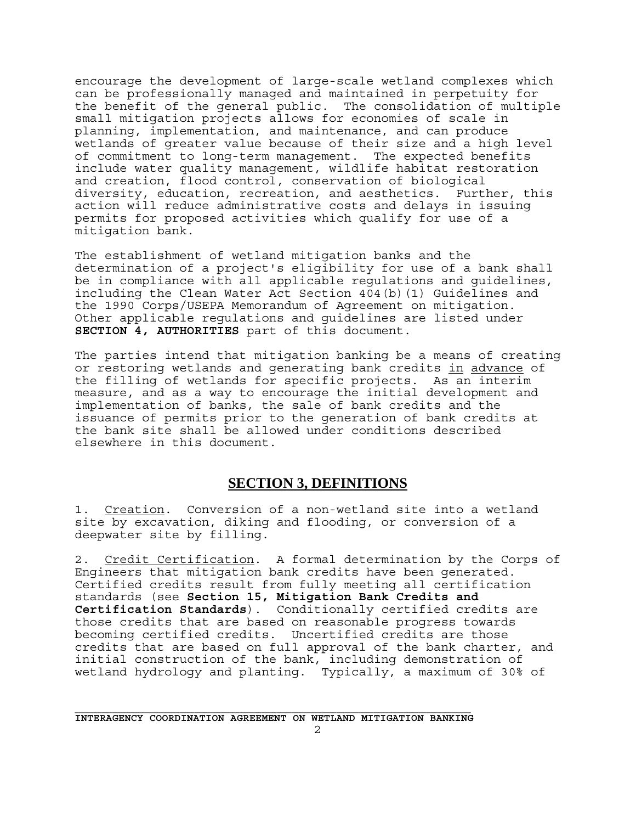encourage the development of large-scale wetland complexes which can be professionally managed and maintained in perpetuity for the benefit of the general public. The consolidation of multiple small mitigation projects allows for economies of scale in planning, implementation, and maintenance, and can produce wetlands of greater value because of their size and a high level of commitment to long-term management. The expected benefits include water quality management, wildlife habitat restoration and creation, flood control, conservation of biological diversity, education, recreation, and aesthetics. Further, this action will reduce administrative costs and delays in issuing permits for proposed activities which qualify for use of a mitigation bank.

The establishment of wetland mitigation banks and the determination of a project's eligibility for use of a bank shall be in compliance with all applicable regulations and guidelines, including the Clean Water Act Section 404(b)(1) Guidelines and the 1990 Corps/USEPA Memorandum of Agreement on mitigation. Other applicable regulations and guidelines are listed under **SECTION 4, AUTHORITIES** part of this document.

The parties intend that mitigation banking be a means of creating or restoring wetlands and generating bank credits in advance of the filling of wetlands for specific projects. As an interim measure, and as a way to encourage the initial development and implementation of banks, the sale of bank credits and the issuance of permits prior to the generation of bank credits at the bank site shall be allowed under conditions described elsewhere in this document.

#### **SECTION 3, DEFINITIONS**

1. Creation. Conversion of a non-wetland site into a wetland site by excavation, diking and flooding, or conversion of a deepwater site by filling.

2. Credit Certification. A formal determination by the Corps of Engineers that mitigation bank credits have been generated. Certified credits result from fully meeting all certification standards (see **Section 15, Mitigation Bank Credits and Certification Standards**). Conditionally certified credits are those credits that are based on reasonable progress towards becoming certified credits. Uncertified credits are those credits that are based on full approval of the bank charter, and initial construction of the bank, including demonstration of wetland hydrology and planting. Typically, a maximum of 30% of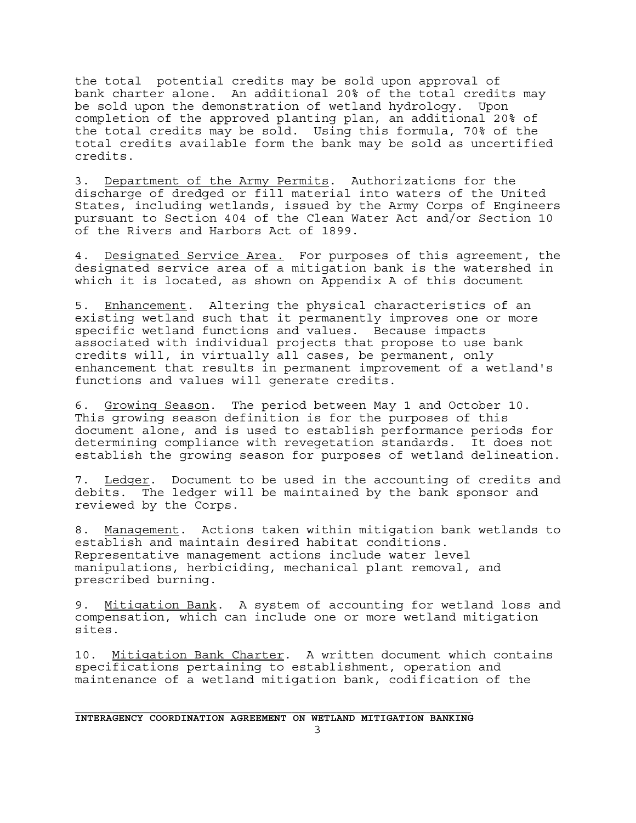the total potential credits may be sold upon approval of bank charter alone. An additional 20% of the total credits may be sold upon the demonstration of wetland hydrology. Upon completion of the approved planting plan, an additional 20% of the total credits may be sold. Using this formula, 70% of the total credits available form the bank may be sold as uncertified credits.

3. Department of the Army Permits. Authorizations for the discharge of dredged or fill material into waters of the United States, including wetlands, issued by the Army Corps of Engineers pursuant to Section 404 of the Clean Water Act and/or Section 10 of the Rivers and Harbors Act of 1899.

4. Designated Service Area. For purposes of this agreement, the designated service area of a mitigation bank is the watershed in which it is located, as shown on Appendix A of this document

5. Enhancement. Altering the physical characteristics of an existing wetland such that it permanently improves one or more specific wetland functions and values. Because impacts associated with individual projects that propose to use bank credits will, in virtually all cases, be permanent, only enhancement that results in permanent improvement of a wetland's functions and values will generate credits.

6. Growing Season. The period between May 1 and October 10. This growing season definition is for the purposes of this document alone, and is used to establish performance periods for determining compliance with revegetation standards. It does not establish the growing season for purposes of wetland delineation.

7. Ledger. Document to be used in the accounting of credits and debits. The ledger will be maintained by the bank sponsor and reviewed by the Corps.

8. Management. Actions taken within mitigation bank wetlands to establish and maintain desired habitat conditions. Representative management actions include water level manipulations, herbiciding, mechanical plant removal, and prescribed burning.

9. Mitigation Bank. A system of accounting for wetland loss and compensation, which can include one or more wetland mitigation sites.

10. Mitigation Bank Charter. A written document which contains specifications pertaining to establishment, operation and maintenance of a wetland mitigation bank, codification of the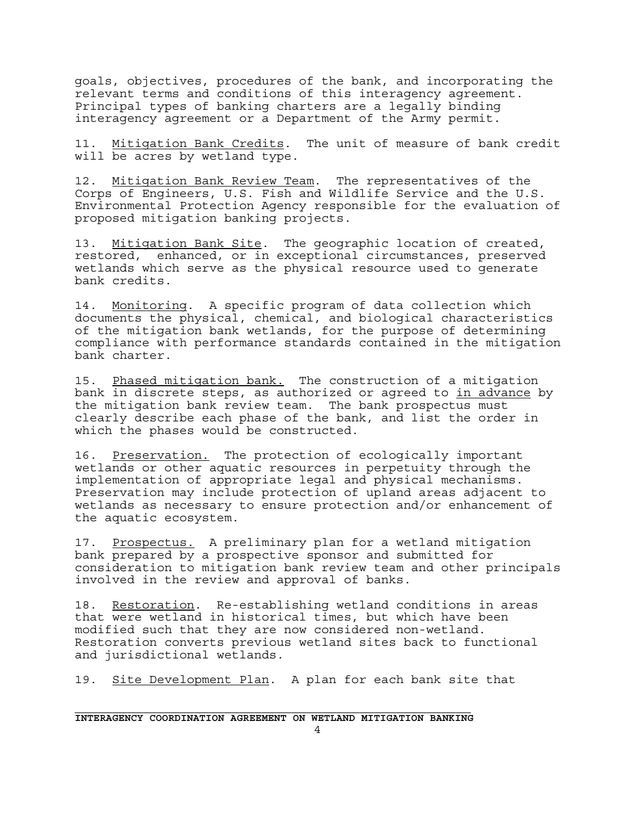goals, objectives, procedures of the bank, and incorporating the relevant terms and conditions of this interagency agreement. Principal types of banking charters are a legally binding interagency agreement or a Department of the Army permit.

11. Mitigation Bank Credits. The unit of measure of bank credit will be acres by wetland type.

12. Mitigation Bank Review Team. The representatives of the Corps of Engineers, U.S. Fish and Wildlife Service and the U.S. Environmental Protection Agency responsible for the evaluation of proposed mitigation banking projects.

13. Mitigation Bank Site. The geographic location of created, restored, enhanced, or in exceptional circumstances, preserved wetlands which serve as the physical resource used to generate bank credits.

14. Monitoring. A specific program of data collection which documents the physical, chemical, and biological characteristics of the mitigation bank wetlands, for the purpose of determining compliance with performance standards contained in the mitigation bank charter.

15. Phased mitigation bank. The construction of a mitigation bank in discrete steps, as authorized or agreed to in advance by the mitigation bank review team. The bank prospectus must clearly describe each phase of the bank, and list the order in which the phases would be constructed.

16. Preservation. The protection of ecologically important wetlands or other aquatic resources in perpetuity through the implementation of appropriate legal and physical mechanisms. Preservation may include protection of upland areas adjacent to wetlands as necessary to ensure protection and/or enhancement of the aquatic ecosystem.

17. Prospectus. A preliminary plan for a wetland mitigation bank prepared by a prospective sponsor and submitted for consideration to mitigation bank review team and other principals involved in the review and approval of banks.

18. Restoration. Re-establishing wetland conditions in areas that were wetland in historical times, but which have been modified such that they are now considered non-wetland. Restoration converts previous wetland sites back to functional and jurisdictional wetlands.

19. Site Development Plan. A plan for each bank site that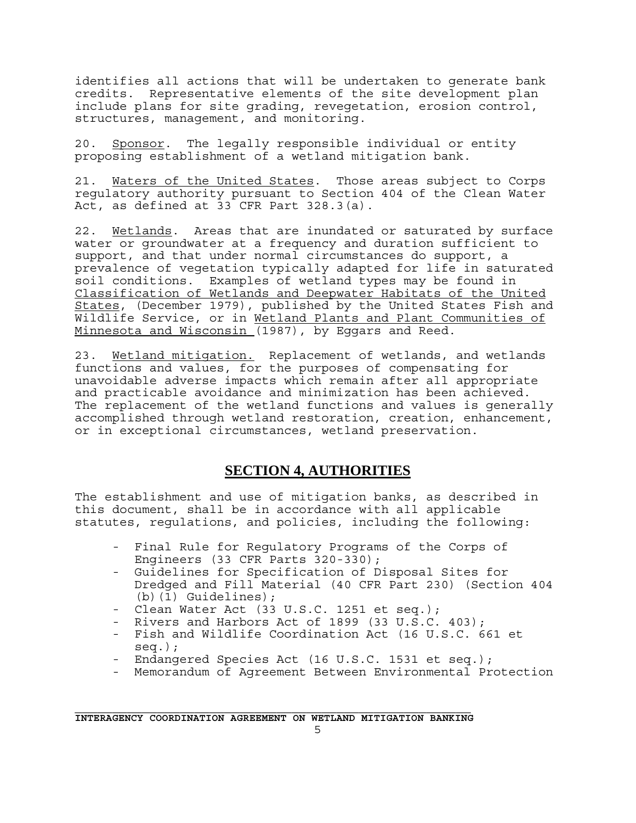identifies all actions that will be undertaken to generate bank credits. Representative elements of the site development plan include plans for site grading, revegetation, erosion control, structures, management, and monitoring.

20. Sponsor. The legally responsible individual or entity proposing establishment of a wetland mitigation bank.

21. Waters of the United States. Those areas subject to Corps regulatory authority pursuant to Section 404 of the Clean Water Act, as defined at 33 CFR Part 328.3(a).

22. Wetlands. Areas that are inundated or saturated by surface water or groundwater at a frequency and duration sufficient to support, and that under normal circumstances do support, a prevalence of vegetation typically adapted for life in saturated soil conditions. Examples of wetland types may be found in Classification of Wetlands and Deepwater Habitats of the United States, (December 1979), published by the United States Fish and Wildlife Service, or in Wetland Plants and Plant Communities of Minnesota and Wisconsin (1987), by Eggars and Reed.

23. Wetland mitigation. Replacement of wetlands, and wetlands functions and values, for the purposes of compensating for unavoidable adverse impacts which remain after all appropriate and practicable avoidance and minimization has been achieved. The replacement of the wetland functions and values is generally accomplished through wetland restoration, creation, enhancement, or in exceptional circumstances, wetland preservation.

### **SECTION 4, AUTHORITIES**

The establishment and use of mitigation banks, as described in this document, shall be in accordance with all applicable statutes, regulations, and policies, including the following:

- Final Rule for Regulatory Programs of the Corps of Engineers (33 CFR Parts 320-330);
- Guidelines for Specification of Disposal Sites for Dredged and Fill Material (40 CFR Part 230) (Section 404 (b)(1) Guidelines);
- Clean Water Act (33 U.S.C. 1251 et seq.);
- Rivers and Harbors Act of 1899 (33 U.S.C. 403);
- Fish and Wildlife Coordination Act (16 U.S.C. 661 et seq.);
- Endangered Species Act (16 U.S.C. 1531 et seq.);
- Memorandum of Agreement Between Environmental Protection

**INTERAGENCY COORDINATION AGREEMENT ON WETLAND MITIGATION BANKING**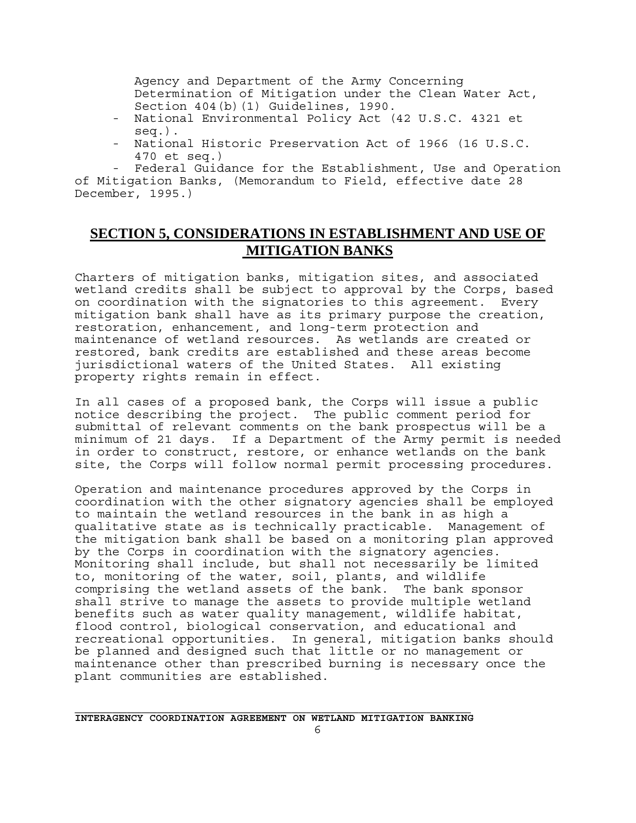Agency and Department of the Army Concerning Determination of Mitigation under the Clean Water Act, Section 404(b)(1) Guidelines, 1990.

- National Environmental Policy Act (42 U.S.C. 4321 et seq.).
- National Historic Preservation Act of 1966 (16 U.S.C. 470 et seq.)

Federal Guidance for the Establishment, Use and Operation of Mitigation Banks, (Memorandum to Field, effective date 28 December, 1995.)

### **SECTION 5, CONSIDERATIONS IN ESTABLISHMENT AND USE OF MITIGATION BANKS**

Charters of mitigation banks, mitigation sites, and associated wetland credits shall be subject to approval by the Corps, based on coordination with the signatories to this agreement. Every mitigation bank shall have as its primary purpose the creation, restoration, enhancement, and long-term protection and maintenance of wetland resources. As wetlands are created or restored, bank credits are established and these areas become jurisdictional waters of the United States. All existing property rights remain in effect.

In all cases of a proposed bank, the Corps will issue a public notice describing the project. The public comment period for submittal of relevant comments on the bank prospectus will be a minimum of 21 days. If a Department of the Army permit is needed in order to construct, restore, or enhance wetlands on the bank site, the Corps will follow normal permit processing procedures.

Operation and maintenance procedures approved by the Corps in coordination with the other signatory agencies shall be employed to maintain the wetland resources in the bank in as high a qualitative state as is technically practicable. Management of the mitigation bank shall be based on a monitoring plan approved by the Corps in coordination with the signatory agencies. Monitoring shall include, but shall not necessarily be limited to, monitoring of the water, soil, plants, and wildlife comprising the wetland assets of the bank. The bank sponsor shall strive to manage the assets to provide multiple wetland benefits such as water quality management, wildlife habitat, flood control, biological conservation, and educational and recreational opportunities. In general, mitigation banks should be planned and designed such that little or no management or maintenance other than prescribed burning is necessary once the plant communities are established.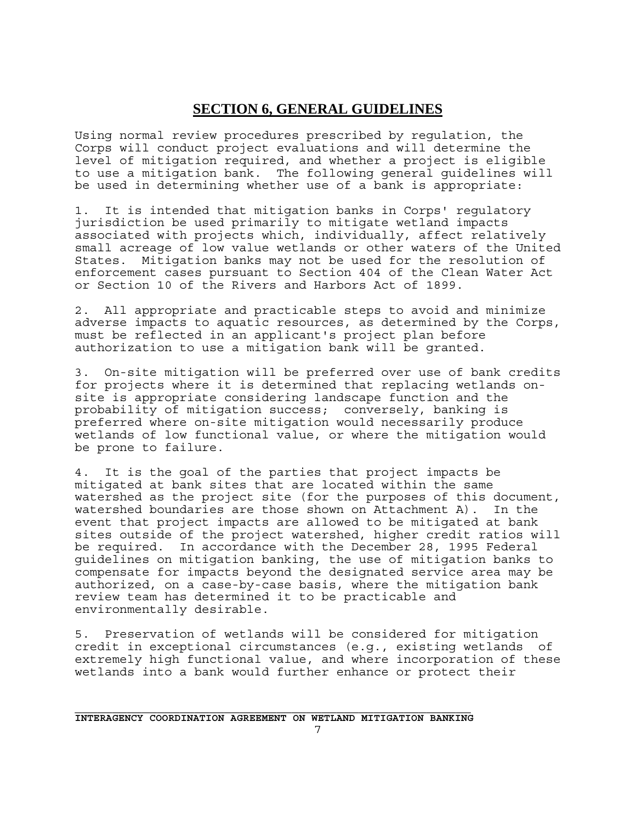### **SECTION 6, GENERAL GUIDELINES**

Using normal review procedures prescribed by regulation, the Corps will conduct project evaluations and will determine the level of mitigation required, and whether a project is eligible to use a mitigation bank. The following general guidelines will be used in determining whether use of a bank is appropriate:

1. It is intended that mitigation banks in Corps' regulatory jurisdiction be used primarily to mitigate wetland impacts associated with projects which, individually, affect relatively small acreage of low value wetlands or other waters of the United States. Mitigation banks may not be used for the resolution of enforcement cases pursuant to Section 404 of the Clean Water Act or Section 10 of the Rivers and Harbors Act of 1899.

2. All appropriate and practicable steps to avoid and minimize adverse impacts to aquatic resources, as determined by the Corps, must be reflected in an applicant's project plan before authorization to use a mitigation bank will be granted.

3. On-site mitigation will be preferred over use of bank credits for projects where it is determined that replacing wetlands onsite is appropriate considering landscape function and the probability of mitigation success; conversely, banking is preferred where on-site mitigation would necessarily produce wetlands of low functional value, or where the mitigation would be prone to failure.

4. It is the goal of the parties that project impacts be mitigated at bank sites that are located within the same watershed as the project site (for the purposes of this document, watershed boundaries are those shown on Attachment A). In the event that project impacts are allowed to be mitigated at bank sites outside of the project watershed, higher credit ratios will be required. In accordance with the December 28, 1995 Federal guidelines on mitigation banking, the use of mitigation banks to compensate for impacts beyond the designated service area may be authorized, on a case-by-case basis, where the mitigation bank review team has determined it to be practicable and environmentally desirable.

5. Preservation of wetlands will be considered for mitigation credit in exceptional circumstances (e.g., existing wetlands of extremely high functional value, and where incorporation of these wetlands into a bank would further enhance or protect their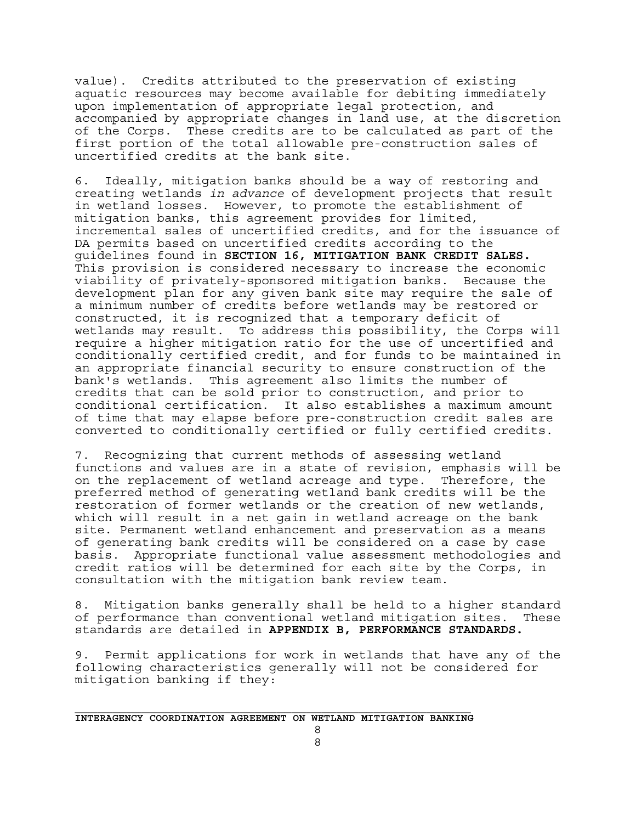value). Credits attributed to the preservation of existing aquatic resources may become available for debiting immediately upon implementation of appropriate legal protection, and accompanied by appropriate changes in land use, at the discretion of the Corps. These credits are to be calculated as part of the first portion of the total allowable pre-construction sales of uncertified credits at the bank site.

6. Ideally, mitigation banks should be a way of restoring and creating wetlands *in advance* of development projects that result in wetland losses. However, to promote the establishment of mitigation banks, this agreement provides for limited, incremental sales of uncertified credits, and for the issuance of DA permits based on uncertified credits according to the guidelines found in **SECTION 16, MITIGATION BANK CREDIT SALES.** This provision is considered necessary to increase the economic viability of privately-sponsored mitigation banks. Because the development plan for any given bank site may require the sale of a minimum number of credits before wetlands may be restored or constructed, it is recognized that a temporary deficit of wetlands may result. To address this possibility, the Corps will require a higher mitigation ratio for the use of uncertified and conditionally certified credit, and for funds to be maintained in an appropriate financial security to ensure construction of the bank's wetlands. This agreement also limits the number of credits that can be sold prior to construction, and prior to conditional certification. It also establishes a maximum amount of time that may elapse before pre-construction credit sales are converted to conditionally certified or fully certified credits.

7. Recognizing that current methods of assessing wetland functions and values are in a state of revision, emphasis will be on the replacement of wetland acreage and type. Therefore, the preferred method of generating wetland bank credits will be the restoration of former wetlands or the creation of new wetlands, which will result in a net gain in wetland acreage on the bank site. Permanent wetland enhancement and preservation as a means of generating bank credits will be considered on a case by case basis. Appropriate functional value assessment methodologies and credit ratios will be determined for each site by the Corps, in consultation with the mitigation bank review team.

8. Mitigation banks generally shall be held to a higher standard of performance than conventional wetland mitigation sites. These standards are detailed in **APPENDIX B, PERFORMANCE STANDARDS.**

9. Permit applications for work in wetlands that have any of the following characteristics generally will not be considered for mitigation banking if they:

 8 8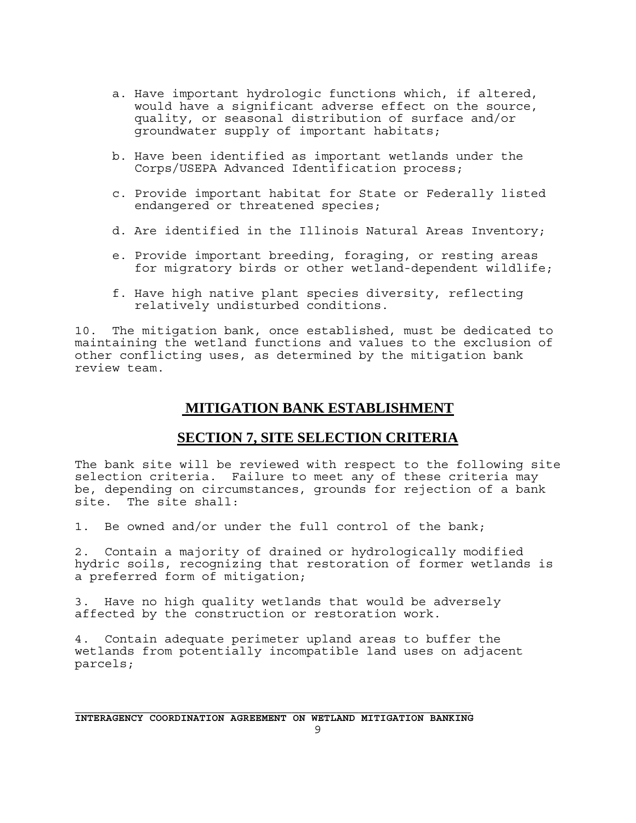- a. Have important hydrologic functions which, if altered, would have a significant adverse effect on the source, quality, or seasonal distribution of surface and/or groundwater supply of important habitats;
- b. Have been identified as important wetlands under the Corps/USEPA Advanced Identification process;
- c. Provide important habitat for State or Federally listed endangered or threatened species;
- d. Are identified in the Illinois Natural Areas Inventory;
- e. Provide important breeding, foraging, or resting areas for migratory birds or other wetland-dependent wildlife;
- f. Have high native plant species diversity, reflecting relatively undisturbed conditions.

10. The mitigation bank, once established, must be dedicated to maintaining the wetland functions and values to the exclusion of other conflicting uses, as determined by the mitigation bank review team.

#### **MITIGATION BANK ESTABLISHMENT**

#### **SECTION 7, SITE SELECTION CRITERIA**

The bank site will be reviewed with respect to the following site selection criteria. Failure to meet any of these criteria may be, depending on circumstances, grounds for rejection of a bank site. The site shall:

1. Be owned and/or under the full control of the bank;

2. Contain a majority of drained or hydrologically modified hydric soils, recognizing that restoration of former wetlands is a preferred form of mitigation;

3. Have no high quality wetlands that would be adversely affected by the construction or restoration work.

4. Contain adequate perimeter upland areas to buffer the wetlands from potentially incompatible land uses on adjacent parcels;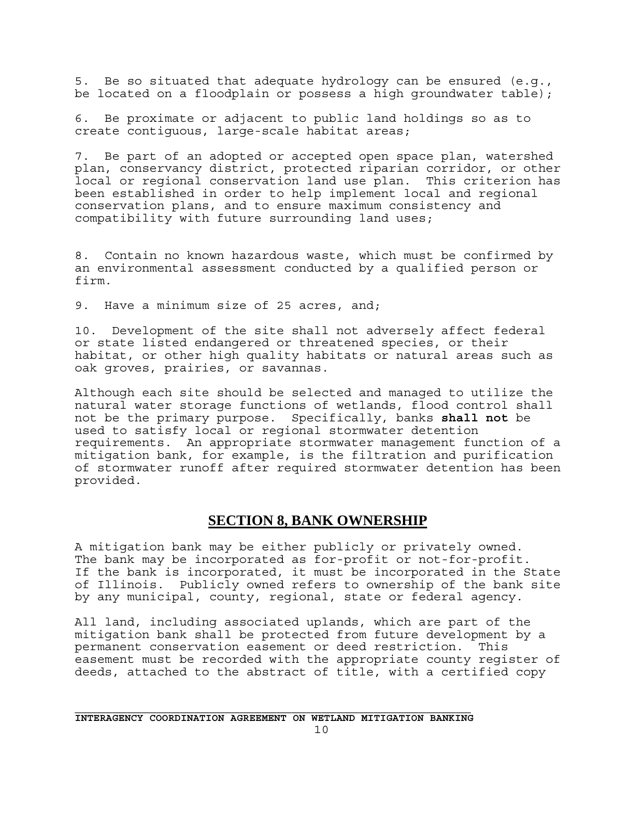5. Be so situated that adequate hydrology can be ensured (e.g., be located on a floodplain or possess a high groundwater table);

6. Be proximate or adjacent to public land holdings so as to create contiguous, large-scale habitat areas;

7. Be part of an adopted or accepted open space plan, watershed plan, conservancy district, protected riparian corridor, or other local or regional conservation land use plan. This criterion has been established in order to help implement local and regional conservation plans, and to ensure maximum consistency and compatibility with future surrounding land uses;

8. Contain no known hazardous waste, which must be confirmed by an environmental assessment conducted by a qualified person or firm.

9. Have a minimum size of 25 acres, and;

10. Development of the site shall not adversely affect federal or state listed endangered or threatened species, or their habitat, or other high quality habitats or natural areas such as oak groves, prairies, or savannas.

Although each site should be selected and managed to utilize the natural water storage functions of wetlands, flood control shall not be the primary purpose. Specifically, banks **shall not** be used to satisfy local or regional stormwater detention requirements. An appropriate stormwater management function of a mitigation bank, for example, is the filtration and purification of stormwater runoff after required stormwater detention has been provided.

#### **SECTION 8, BANK OWNERSHIP**

A mitigation bank may be either publicly or privately owned. The bank may be incorporated as for-profit or not-for-profit. If the bank is incorporated, it must be incorporated in the State of Illinois. Publicly owned refers to ownership of the bank site by any municipal, county, regional, state or federal agency.

All land, including associated uplands, which are part of the mitigation bank shall be protected from future development by a permanent conservation easement or deed restriction. This easement must be recorded with the appropriate county register of deeds, attached to the abstract of title, with a certified copy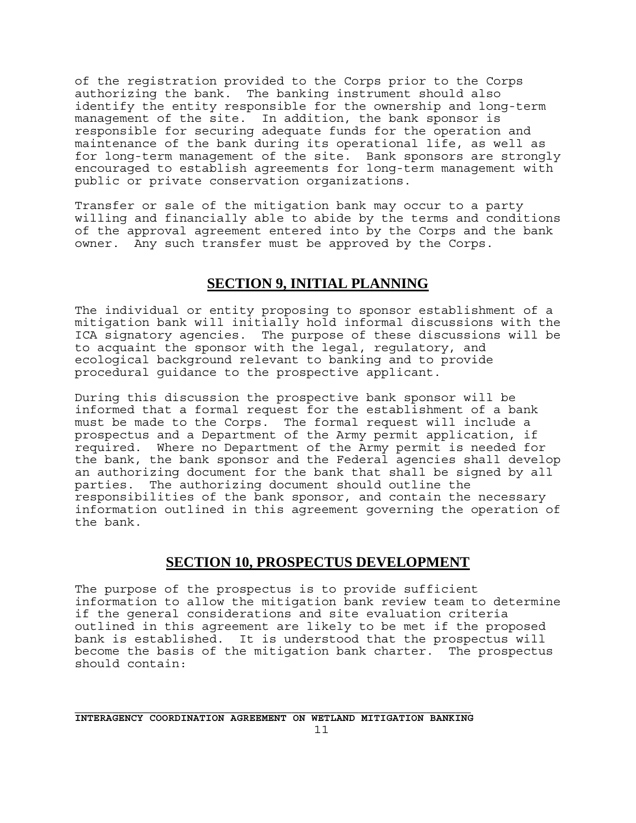of the registration provided to the Corps prior to the Corps authorizing the bank. The banking instrument should also identify the entity responsible for the ownership and long-term management of the site. In addition, the bank sponsor is responsible for securing adequate funds for the operation and maintenance of the bank during its operational life, as well as for long-term management of the site. Bank sponsors are strongly encouraged to establish agreements for long-term management with public or private conservation organizations.

Transfer or sale of the mitigation bank may occur to a party willing and financially able to abide by the terms and conditions of the approval agreement entered into by the Corps and the bank owner. Any such transfer must be approved by the Corps.

### **SECTION 9, INITIAL PLANNING**

The individual or entity proposing to sponsor establishment of a mitigation bank will initially hold informal discussions with the ICA signatory agencies. The purpose of these discussions will be to acquaint the sponsor with the legal, regulatory, and ecological background relevant to banking and to provide procedural guidance to the prospective applicant.

During this discussion the prospective bank sponsor will be informed that a formal request for the establishment of a bank must be made to the Corps. The formal request will include a prospectus and a Department of the Army permit application, if required. Where no Department of the Army permit is needed for the bank, the bank sponsor and the Federal agencies shall develop an authorizing document for the bank that shall be signed by all parties. The authorizing document should outline the responsibilities of the bank sponsor, and contain the necessary information outlined in this agreement governing the operation of the bank.

#### **SECTION 10, PROSPECTUS DEVELOPMENT**

The purpose of the prospectus is to provide sufficient information to allow the mitigation bank review team to determine if the general considerations and site evaluation criteria outlined in this agreement are likely to be met if the proposed bank is established. It is understood that the prospectus will become the basis of the mitigation bank charter. The prospectus should contain: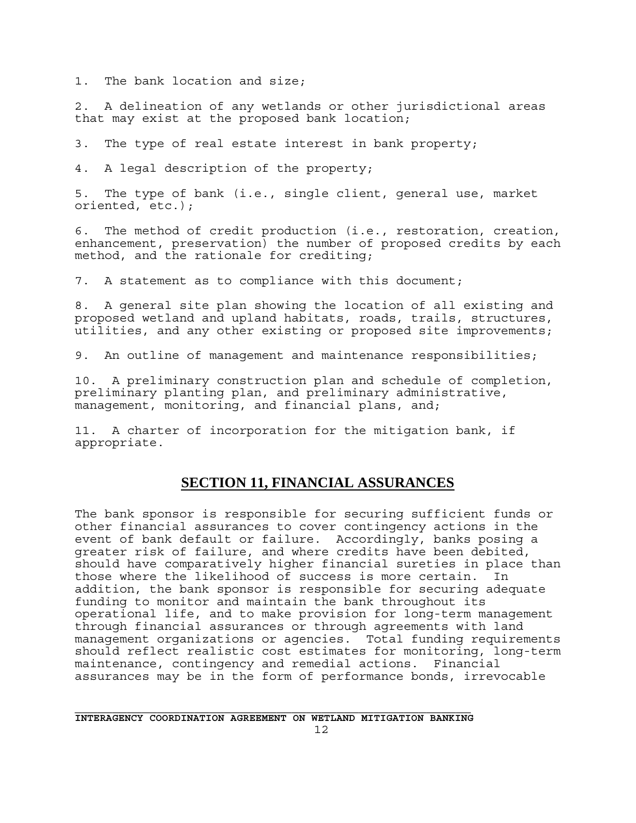1. The bank location and size;

2. A delineation of any wetlands or other jurisdictional areas that may exist at the proposed bank location;

3. The type of real estate interest in bank property;

4. A legal description of the property;

5. The type of bank (i.e., single client, general use, market oriented, etc.);

6. The method of credit production (i.e., restoration, creation, enhancement, preservation) the number of proposed credits by each method, and the rationale for crediting;

7. A statement as to compliance with this document;

8. A general site plan showing the location of all existing and proposed wetland and upland habitats, roads, trails, structures, utilities, and any other existing or proposed site improvements;

9. An outline of management and maintenance responsibilities;

10. A preliminary construction plan and schedule of completion, preliminary planting plan, and preliminary administrative, management, monitoring, and financial plans, and;

11. A charter of incorporation for the mitigation bank, if appropriate.

### **SECTION 11, FINANCIAL ASSURANCES**

The bank sponsor is responsible for securing sufficient funds or other financial assurances to cover contingency actions in the event of bank default or failure. Accordingly, banks posing a greater risk of failure, and where credits have been debited, should have comparatively higher financial sureties in place than those where the likelihood of success is more certain. In addition, the bank sponsor is responsible for securing adequate funding to monitor and maintain the bank throughout its operational life, and to make provision for long-term management through financial assurances or through agreements with land management organizations or agencies. Total funding requirements should reflect realistic cost estimates for monitoring, long-term maintenance, contingency and remedial actions. Financial assurances may be in the form of performance bonds, irrevocable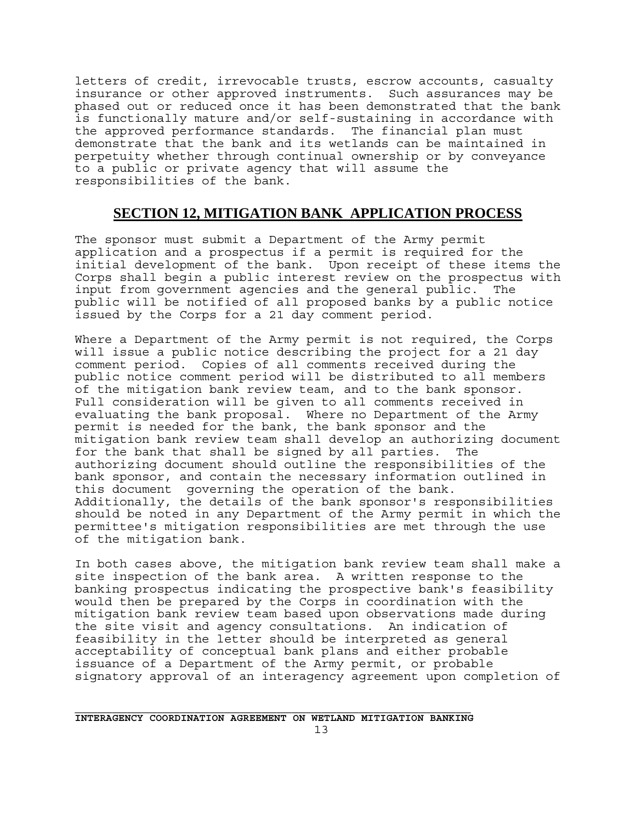letters of credit, irrevocable trusts, escrow accounts, casualty insurance or other approved instruments. Such assurances may be phased out or reduced once it has been demonstrated that the bank is functionally mature and/or self-sustaining in accordance with the approved performance standards. The financial plan must demonstrate that the bank and its wetlands can be maintained in perpetuity whether through continual ownership or by conveyance to a public or private agency that will assume the responsibilities of the bank.

#### **SECTION 12, MITIGATION BANK APPLICATION PROCESS**

The sponsor must submit a Department of the Army permit application and a prospectus if a permit is required for the initial development of the bank. Upon receipt of these items the Corps shall begin a public interest review on the prospectus with input from government agencies and the general public. The public will be notified of all proposed banks by a public notice issued by the Corps for a 21 day comment period.

Where a Department of the Army permit is not required, the Corps will issue a public notice describing the project for a 21 day comment period. Copies of all comments received during the public notice comment period will be distributed to all members of the mitigation bank review team, and to the bank sponsor. Full consideration will be given to all comments received in evaluating the bank proposal. Where no Department of the Army permit is needed for the bank, the bank sponsor and the mitigation bank review team shall develop an authorizing document for the bank that shall be signed by all parties. The authorizing document should outline the responsibilities of the bank sponsor, and contain the necessary information outlined in this document governing the operation of the bank. Additionally, the details of the bank sponsor's responsibilities should be noted in any Department of the Army permit in which the permittee's mitigation responsibilities are met through the use of the mitigation bank.

In both cases above, the mitigation bank review team shall make a site inspection of the bank area. A written response to the banking prospectus indicating the prospective bank's feasibility would then be prepared by the Corps in coordination with the mitigation bank review team based upon observations made during the site visit and agency consultations. An indication of feasibility in the letter should be interpreted as general acceptability of conceptual bank plans and either probable issuance of a Department of the Army permit, or probable signatory approval of an interagency agreement upon completion of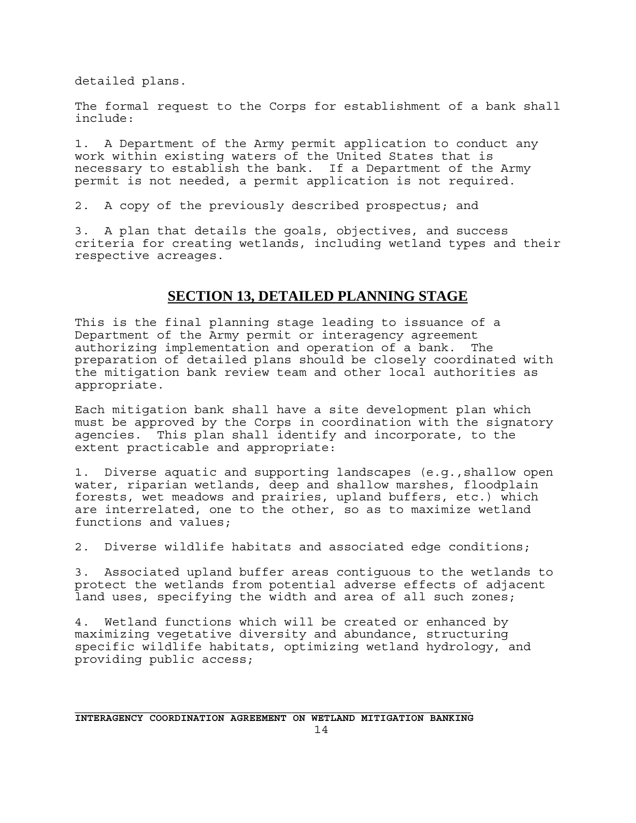detailed plans.

The formal request to the Corps for establishment of a bank shall include:

1. A Department of the Army permit application to conduct any work within existing waters of the United States that is necessary to establish the bank. If a Department of the Army permit is not needed, a permit application is not required.

2. A copy of the previously described prospectus; and

3. A plan that details the goals, objectives, and success criteria for creating wetlands, including wetland types and their respective acreages.

### **SECTION 13, DETAILED PLANNING STAGE**

This is the final planning stage leading to issuance of a Department of the Army permit or interagency agreement authorizing implementation and operation of a bank. The preparation of detailed plans should be closely coordinated with the mitigation bank review team and other local authorities as appropriate.

Each mitigation bank shall have a site development plan which must be approved by the Corps in coordination with the signatory agencies. This plan shall identify and incorporate, to the extent practicable and appropriate:

1. Diverse aquatic and supporting landscapes (e.g.,shallow open water, riparian wetlands, deep and shallow marshes, floodplain forests, wet meadows and prairies, upland buffers, etc.) which are interrelated, one to the other, so as to maximize wetland functions and values;

2. Diverse wildlife habitats and associated edge conditions;

3. Associated upland buffer areas contiguous to the wetlands to protect the wetlands from potential adverse effects of adjacent land uses, specifying the width and area of all such zones;

4. Wetland functions which will be created or enhanced by maximizing vegetative diversity and abundance, structuring specific wildlife habitats, optimizing wetland hydrology, and providing public access;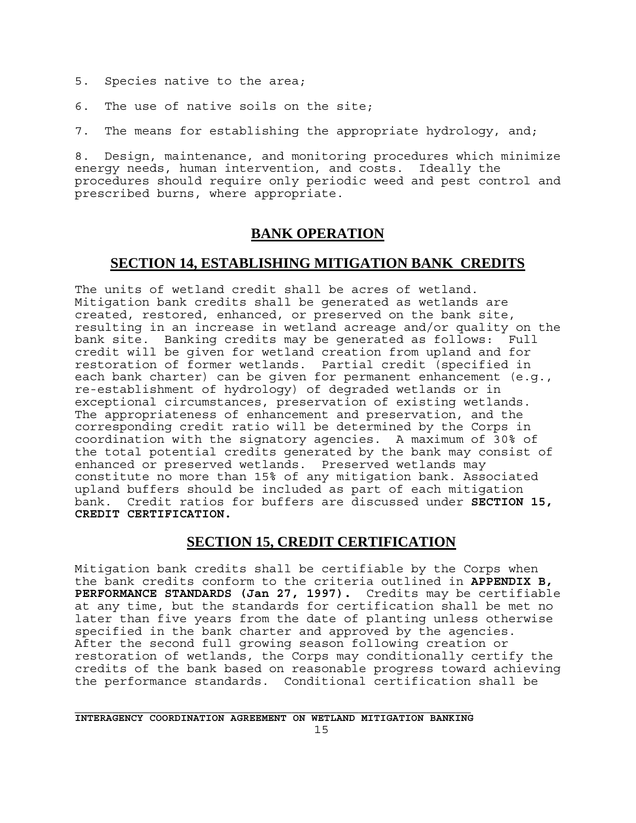- 5. Species native to the area;
- 6. The use of native soils on the site;

7. The means for establishing the appropriate hydrology, and;

8. Design, maintenance, and monitoring procedures which minimize energy needs, human intervention, and costs. Ideally the procedures should require only periodic weed and pest control and prescribed burns, where appropriate.

### **BANK OPERATION**

### **SECTION 14, ESTABLISHING MITIGATION BANK CREDITS**

The units of wetland credit shall be acres of wetland. Mitigation bank credits shall be generated as wetlands are created, restored, enhanced, or preserved on the bank site, resulting in an increase in wetland acreage and/or quality on the bank site. Banking credits may be generated as follows: Full credit will be given for wetland creation from upland and for restoration of former wetlands. Partial credit (specified in each bank charter) can be given for permanent enhancement (e.g., re-establishment of hydrology) of degraded wetlands or in exceptional circumstances, preservation of existing wetlands. The appropriateness of enhancement and preservation, and the corresponding credit ratio will be determined by the Corps in coordination with the signatory agencies.A maximum of 30% of the total potential credits generated by the bank may consist of enhanced or preserved wetlands. Preserved wetlands may constitute no more than 15% of any mitigation bank. Associated upland buffers should be included as part of each mitigation bank. Credit ratios for buffers are discussed under **SECTION 15, CREDIT CERTIFICATION.**

### **SECTION 15, CREDIT CERTIFICATION**

Mitigation bank credits shall be certifiable by the Corps when the bank credits conform to the criteria outlined in **APPENDIX B, PERFORMANCE STANDARDS (Jan 27, 1997).** Credits may be certifiable at any time, but the standards for certification shall be met no later than five years from the date of planting unless otherwise specified in the bank charter and approved by the agencies. After the second full growing season following creation or restoration of wetlands, the Corps may conditionally certify the credits of the bank based on reasonable progress toward achieving the performance standards. Conditional certification shall be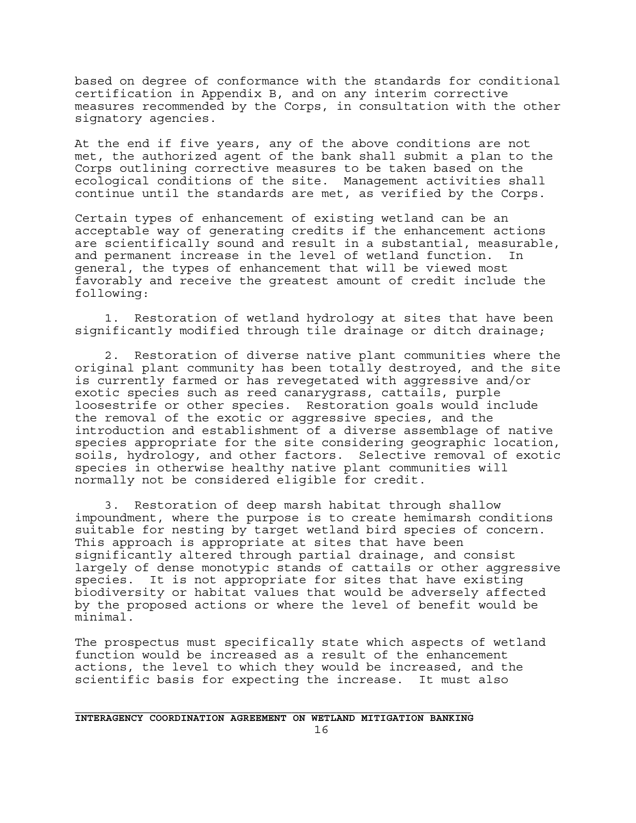based on degree of conformance with the standards for conditional certification in Appendix B, and on any interim corrective measures recommended by the Corps, in consultation with the other signatory agencies.

At the end if five years, any of the above conditions are not met, the authorized agent of the bank shall submit a plan to the Corps outlining corrective measures to be taken based on the ecological conditions of the site. Management activities shall continue until the standards are met, as verified by the Corps.

Certain types of enhancement of existing wetland can be an acceptable way of generating credits if the enhancement actions are scientifically sound and result in a substantial, measurable, and permanent increase in the level of wetland function. In general, the types of enhancement that will be viewed most favorably and receive the greatest amount of credit include the following:

 1. Restoration of wetland hydrology at sites that have been significantly modified through tile drainage or ditch drainage;

 2. Restoration of diverse native plant communities where the original plant community has been totally destroyed, and the site is currently farmed or has revegetated with aggressive and/or exotic species such as reed canarygrass, cattails, purple loosestrife or other species. Restoration goals would include the removal of the exotic or aggressive species, and the introduction and establishment of a diverse assemblage of native species appropriate for the site considering geographic location, soils, hydrology, and other factors. Selective removal of exotic species in otherwise healthy native plant communities will normally not be considered eligible for credit.

 3. Restoration of deep marsh habitat through shallow impoundment, where the purpose is to create hemimarsh conditions suitable for nesting by target wetland bird species of concern. This approach is appropriate at sites that have been significantly altered through partial drainage, and consist largely of dense monotypic stands of cattails or other aggressive species. It is not appropriate for sites that have existing biodiversity or habitat values that would be adversely affected by the proposed actions or where the level of benefit would be minimal.

The prospectus must specifically state which aspects of wetland function would be increased as a result of the enhancement actions, the level to which they would be increased, and the scientific basis for expecting the increase. It must also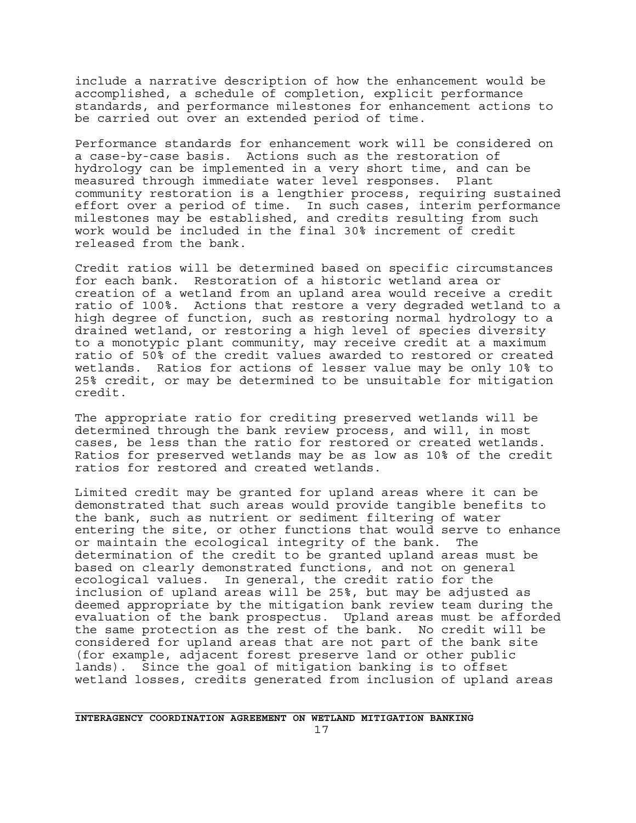include a narrative description of how the enhancement would be accomplished, a schedule of completion, explicit performance standards, and performance milestones for enhancement actions to be carried out over an extended period of time.

Performance standards for enhancement work will be considered on a case-by-case basis. Actions such as the restoration of hydrology can be implemented in a very short time, and can be measured through immediate water level responses. Plant community restoration is a lengthier process, requiring sustained effort over a period of time. In such cases, interim performance milestones may be established, and credits resulting from such work would be included in the final 30% increment of credit released from the bank.

Credit ratios will be determined based on specific circumstances for each bank. Restoration of a historic wetland area or creation of a wetland from an upland area would receive a credit ratio of 100%. Actions that restore a very degraded wetland to a high degree of function, such as restoring normal hydrology to a drained wetland, or restoring a high level of species diversity to a monotypic plant community, may receive credit at a maximum ratio of 50% of the credit values awarded to restored or created wetlands. Ratios for actions of lesser value may be only 10% to 25% credit, or may be determined to be unsuitable for mitigation credit.

The appropriate ratio for crediting preserved wetlands will be determined through the bank review process, and will, in most cases, be less than the ratio for restored or created wetlands. Ratios for preserved wetlands may be as low as 10% of the credit ratios for restored and created wetlands.

Limited credit may be granted for upland areas where it can be demonstrated that such areas would provide tangible benefits to the bank, such as nutrient or sediment filtering of water entering the site, or other functions that would serve to enhance or maintain the ecological integrity of the bank. The determination of the credit to be granted upland areas must be based on clearly demonstrated functions, and not on general ecological values. In general, the credit ratio for the inclusion of upland areas will be 25%, but may be adjusted as deemed appropriate by the mitigation bank review team during the evaluation of the bank prospectus. Upland areas must be afforded the same protection as the rest of the bank. No credit will be considered for upland areas that are not part of the bank site (for example, adjacent forest preserve land or other public lands). Since the goal of mitigation banking is to offset wetland losses, credits generated from inclusion of upland areas

17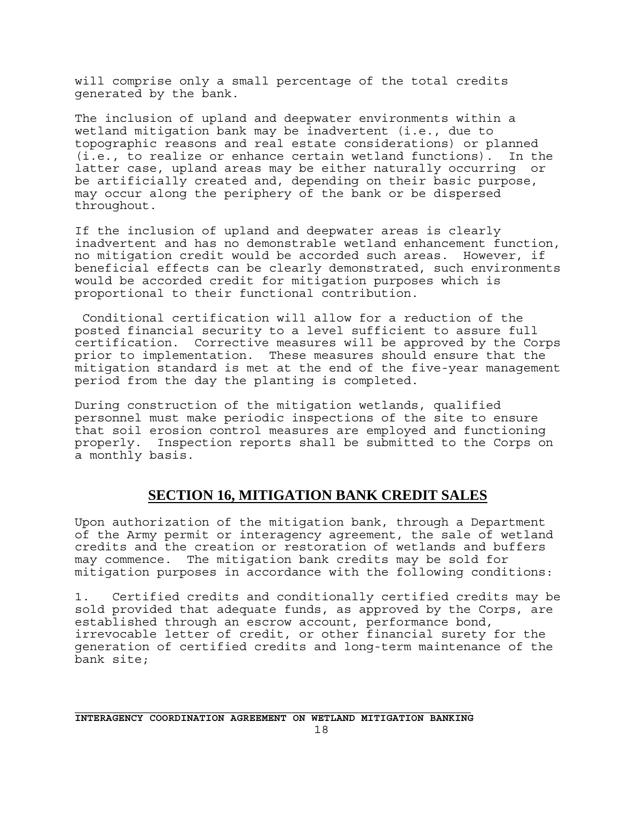will comprise only a small percentage of the total credits generated by the bank.

The inclusion of upland and deepwater environments within a wetland mitigation bank may be inadvertent (i.e., due to topographic reasons and real estate considerations) or planned (i.e., to realize or enhance certain wetland functions). In the latter case, upland areas may be either naturally occurring or be artificially created and, depending on their basic purpose, may occur along the periphery of the bank or be dispersed throughout.

If the inclusion of upland and deepwater areas is clearly inadvertent and has no demonstrable wetland enhancement function, no mitigation credit would be accorded such areas. However, if beneficial effects can be clearly demonstrated, such environments would be accorded credit for mitigation purposes which is proportional to their functional contribution.

 Conditional certification will allow for a reduction of the posted financial security to a level sufficient to assure full certification. Corrective measures will be approved by the Corps prior to implementation. These measures should ensure that the mitigation standard is met at the end of the five-year management period from the day the planting is completed.

During construction of the mitigation wetlands, qualified personnel must make periodic inspections of the site to ensure that soil erosion control measures are employed and functioning properly. Inspection reports shall be submitted to the Corps on a monthly basis.

### **SECTION 16, MITIGATION BANK CREDIT SALES**

Upon authorization of the mitigation bank, through a Department of the Army permit or interagency agreement, the sale of wetland credits and the creation or restoration of wetlands and buffers may commence. The mitigation bank credits may be sold for mitigation purposes in accordance with the following conditions:

1. Certified credits and conditionally certified credits may be sold provided that adequate funds, as approved by the Corps, are established through an escrow account, performance bond, irrevocable letter of credit, or other financial surety for the generation of certified credits and long-term maintenance of the bank site;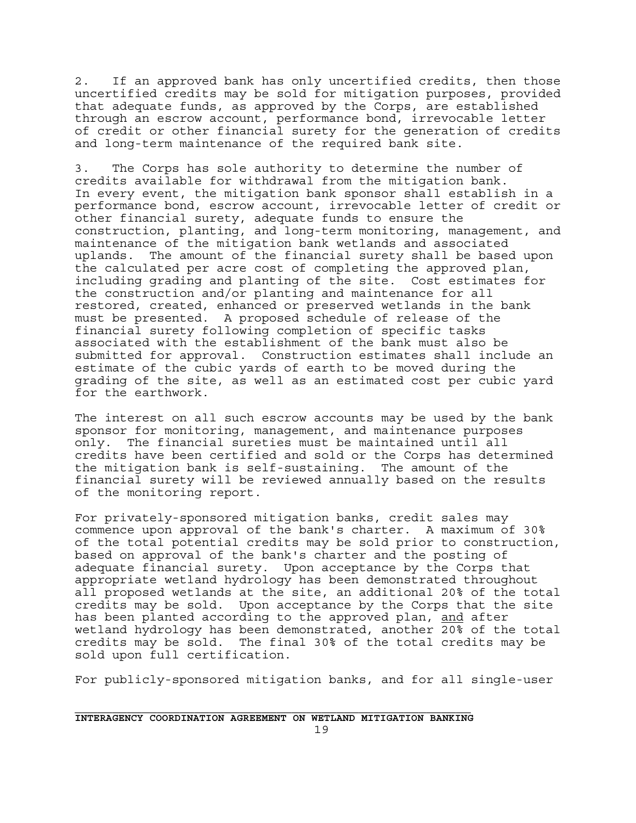2. If an approved bank has only uncertified credits, then those uncertified credits may be sold for mitigation purposes, provided that adequate funds, as approved by the Corps, are established through an escrow account, performance bond, irrevocable letter of credit or other financial surety for the generation of credits and long-term maintenance of the required bank site.

3. The Corps has sole authority to determine the number of credits available for withdrawal from the mitigation bank. In every event, the mitigation bank sponsor shall establish in a performance bond, escrow account, irrevocable letter of credit or other financial surety, adequate funds to ensure the construction, planting, and long-term monitoring, management, and maintenance of the mitigation bank wetlands and associated uplands. The amount of the financial surety shall be based upon the calculated per acre cost of completing the approved plan, including grading and planting of the site. Cost estimates for the construction and/or planting and maintenance for all restored, created, enhanced or preserved wetlands in the bank must be presented. A proposed schedule of release of the financial surety following completion of specific tasks associated with the establishment of the bank must also be submitted for approval. Construction estimates shall include an estimate of the cubic yards of earth to be moved during the grading of the site, as well as an estimated cost per cubic yard for the earthwork.

The interest on all such escrow accounts may be used by the bank sponsor for monitoring, management, and maintenance purposes only. The financial sureties must be maintained until all credits have been certified and sold or the Corps has determined the mitigation bank is self-sustaining. The amount of the financial surety will be reviewed annually based on the results of the monitoring report.

For privately-sponsored mitigation banks, credit sales may commence upon approval of the bank's charter. A maximum of 30% of the total potential credits may be sold prior to construction, based on approval of the bank's charter and the posting of adequate financial surety. Upon acceptance by the Corps that appropriate wetland hydrology has been demonstrated throughout all proposed wetlands at the site, an additional 20% of the total credits may be sold. Upon acceptance by the Corps that the site has been planted according to the approved plan, and after wetland hydrology has been demonstrated, another 20% of the total credits may be sold. The final 30% of the total credits may be sold upon full certification.

For publicly-sponsored mitigation banks, and for all single-user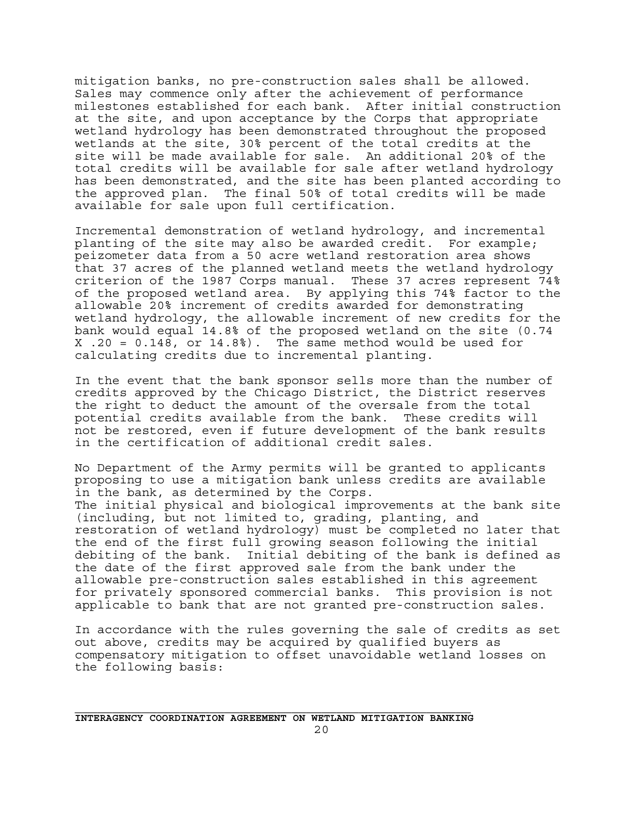mitigation banks, no pre-construction sales shall be allowed. Sales may commence only after the achievement of performance milestones established for each bank. After initial construction at the site, and upon acceptance by the Corps that appropriate wetland hydrology has been demonstrated throughout the proposed wetlands at the site, 30% percent of the total credits at the site will be made available for sale. An additional 20% of the total credits will be available for sale after wetland hydrology has been demonstrated, and the site has been planted according to the approved plan. The final 50% of total credits will be made available for sale upon full certification.

Incremental demonstration of wetland hydrology, and incremental planting of the site may also be awarded credit. For example; peizometer data from a 50 acre wetland restoration area shows that 37 acres of the planned wetland meets the wetland hydrology criterion of the 1987 Corps manual. These 37 acres represent 74% of the proposed wetland area. By applying this 74% factor to the allowable 20% increment of credits awarded for demonstrating wetland hydrology, the allowable increment of new credits for the bank would equal 14.8% of the proposed wetland on the site (0.74 X .20 = 0.148, or 14.8%). The same method would be used for calculating credits due to incremental planting.

In the event that the bank sponsor sells more than the number of credits approved by the Chicago District, the District reserves the right to deduct the amount of the oversale from the total potential credits available from the bank. These credits will not be restored, even if future development of the bank results in the certification of additional credit sales.

No Department of the Army permits will be granted to applicants proposing to use a mitigation bank unless credits are available in the bank, as determined by the Corps. The initial physical and biological improvements at the bank site (including, but not limited to, grading, planting, and restoration of wetland hydrology) must be completed no later that the end of the first full growing season following the initial debiting of the bank. Initial debiting of the bank is defined as the date of the first approved sale from the bank under the allowable pre-construction sales established in this agreement for privately sponsored commercial banks. This provision is not applicable to bank that are not granted pre-construction sales.

In accordance with the rules governing the sale of credits as set out above, credits may be acquired by qualified buyers as compensatory mitigation to offset unavoidable wetland losses on the following basis: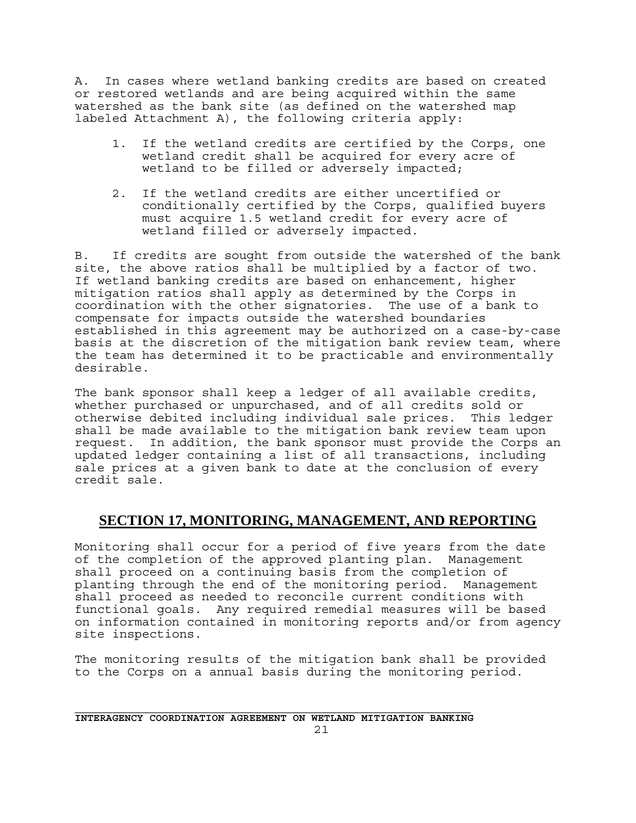A. In cases where wetland banking credits are based on created or restored wetlands and are being acquired within the same watershed as the bank site (as defined on the watershed map labeled Attachment A), the following criteria apply:

- 1. If the wetland credits are certified by the Corps, one wetland credit shall be acquired for every acre of wetland to be filled or adversely impacted;
- 2. If the wetland credits are either uncertified or conditionally certified by the Corps, qualified buyers must acquire 1.5 wetland credit for every acre of wetland filled or adversely impacted.

B. If credits are sought from outside the watershed of the bank site, the above ratios shall be multiplied by a factor of two. If wetland banking credits are based on enhancement, higher mitigation ratios shall apply as determined by the Corps in coordination with the other signatories. The use of a bank to compensate for impacts outside the watershed boundaries established in this agreement may be authorized on a case-by-case basis at the discretion of the mitigation bank review team, where the team has determined it to be practicable and environmentally desirable.

The bank sponsor shall keep a ledger of all available credits, whether purchased or unpurchased, and of all credits sold or otherwise debited including individual sale prices. This ledger shall be made available to the mitigation bank review team upon request. In addition, the bank sponsor must provide the Corps an updated ledger containing a list of all transactions, including sale prices at a given bank to date at the conclusion of every credit sale.

### **SECTION 17, MONITORING, MANAGEMENT, AND REPORTING**

Monitoring shall occur for a period of five years from the date of the completion of the approved planting plan. Management shall proceed on a continuing basis from the completion of planting through the end of the monitoring period. Management shall proceed as needed to reconcile current conditions with functional goals. Any required remedial measures will be based on information contained in monitoring reports and/or from agency site inspections.

The monitoring results of the mitigation bank shall be provided to the Corps on a annual basis during the monitoring period.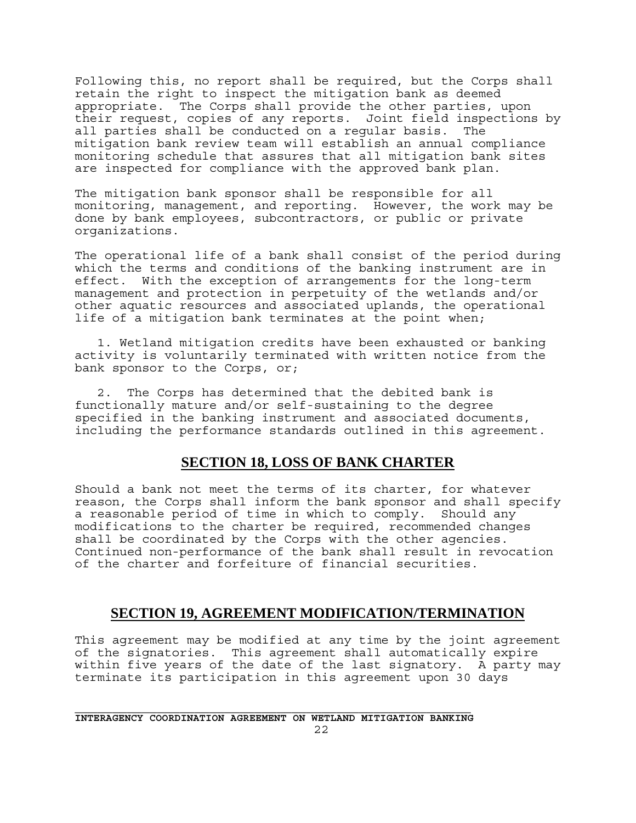Following this, no report shall be required, but the Corps shall retain the right to inspect the mitigation bank as deemed appropriate. The Corps shall provide the other parties, upon their request, copies of any reports. Joint field inspections by all parties shall be conducted on a regular basis. The mitigation bank review team will establish an annual compliance monitoring schedule that assures that all mitigation bank sites are inspected for compliance with the approved bank plan.

The mitigation bank sponsor shall be responsible for all monitoring, management, and reporting. However, the work may be done by bank employees, subcontractors, or public or private organizations.

The operational life of a bank shall consist of the period during which the terms and conditions of the banking instrument are in effect. With the exception of arrangements for the long-term management and protection in perpetuity of the wetlands and/or other aquatic resources and associated uplands, the operational life of a mitigation bank terminates at the point when;

 1. Wetland mitigation credits have been exhausted or banking activity is voluntarily terminated with written notice from the bank sponsor to the Corps, or;

 2. The Corps has determined that the debited bank is functionally mature and/or self-sustaining to the degree specified in the banking instrument and associated documents, including the performance standards outlined in this agreement.

#### **SECTION 18, LOSS OF BANK CHARTER**

Should a bank not meet the terms of its charter, for whatever reason, the Corps shall inform the bank sponsor and shall specify a reasonable period of time in which to comply. Should any modifications to the charter be required, recommended changes shall be coordinated by the Corps with the other agencies. Continued non-performance of the bank shall result in revocation of the charter and forfeiture of financial securities.

#### **SECTION 19, AGREEMENT MODIFICATION/TERMINATION**

This agreement may be modified at any time by the joint agreement of the signatories. This agreement shall automatically expire within five years of the date of the last signatory. A party may terminate its participation in this agreement upon 30 days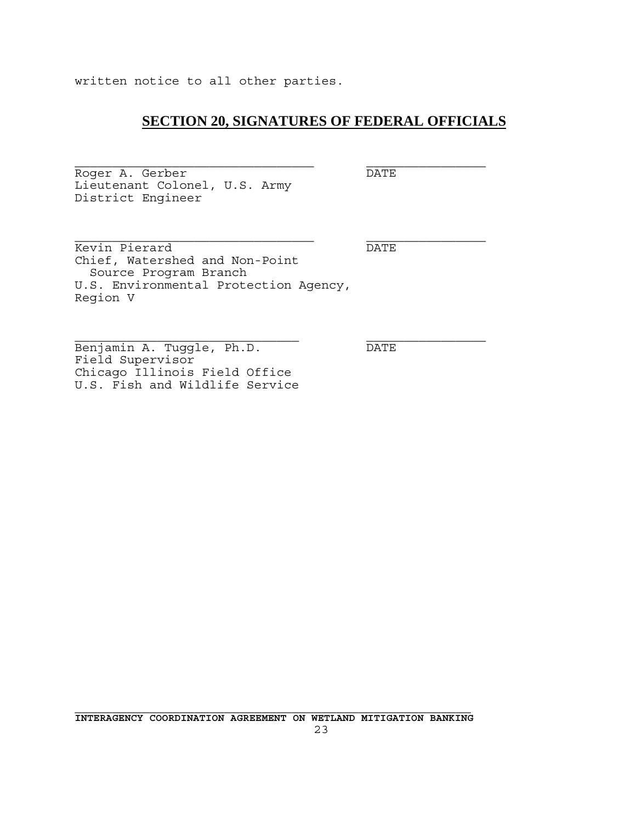written notice to all other parties.

### **SECTION 20, SIGNATURES OF FEDERAL OFFICIALS**

Roger A. Gerber DATE Lieutenant Colonel, U.S. Army District Engineer

Kevin Pierard DATE Chief, Watershed and Non-Point Source Program Branch U.S. Environmental Protection Agency, Region V

Benjamin A. Tuggle, Ph.D. DATE Field Supervisor Chicago Illinois Field Office U.S. Fish and Wildlife Service